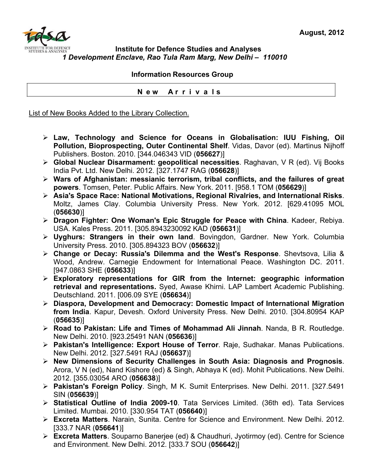

## **Institute for Defence Studies and Analyses** *1 Development Enclave, Rao Tula Ram Marg, New Delhi – 110010*

## **Information Resources Group**

 **N e w A r r i v a l s**

List of New Books Added to the Library Collection.

- ¾ **Law, Technology and Science for Oceans in Globalisation: IUU Fishing, Oil Pollution, Bioprospecting, Outer Continental Shelf**. Vidas, Davor (ed). Martinus Nijhoff Publishers. Boston. 2010. [344.046343 VID (**056627**)]
- ¾ **Global Nuclear Disarmament: geopolitical necessities**. Raghavan, V R (ed). Vij Books India Pvt. Ltd. New Delhi. 2012. [327.1747 RAG (**056628**)]
- ¾ **Wars of Afghanistan: messianic terrorism, tribal conflicts, and the failures of great powers**. Tomsen, Peter. Public Affairs. New York. 2011. [958.1 TOM (**056629**)]
- ¾ **Asia's Space Race: National Motivations, Regional Rivalries, and International Risks**. Moltz, James Clay. Columbia University Press. New York. 2012. [629.41095 MOL (**056630**)]
- ¾ **Dragon Fighter: One Woman's Epic Struggle for Peace with China**. Kadeer, Rebiya. USA. Kales Press. 2011. [305.8943230092 KAD (**056631**)]
- ¾ **Uyghurs: Strangers in their own land**. Bovingdon, Gardner. New York. Columbia University Press. 2010. [305.894323 BOV (**056632**)]
- ¾ **Change or Decay: Russia's Dilemma and the West's Response**. Shevtsova, Lilia & Wood, Andrew. Carnegie Endowment for International Peace. Washington DC. 2011. [947.0863 SHE (**056633**)]
- ¾ **Exploratory representations for GIR from the Internet: geographic information retrieval and representations.** Syed, Awase Khirni. LAP Lambert Academic Publishing. Deutschland. 2011. [006.09 SYE (**056634**)]
- ¾ **Diaspora, Development and Democracy: Domestic Impact of International Migration from India**. Kapur, Devesh. Oxford University Press. New Delhi. 2010. [304.80954 KAP (**056635**)]
- ¾ **Road to Pakistan: Life and Times of Mohammad Ali Jinnah**. Nanda, B R. Routledge. New Delhi. 2010. [923.25491 NAN (**056636**)]
- ¾ **Pakistan's Intelligence: Export House of Terror**. Raje, Sudhakar. Manas Publications. New Delhi. 2012. [327.5491 RAJ (**056637**)]
- ¾ **New Dimensions of Security Challenges in South Asia: Diagnosis and Prognosis**. Arora, V N (ed), Nand Kishore (ed) & Singh, Abhaya K (ed). Mohit Publications. New Delhi. 2012. [355.03054 ARO (**056638**)]
- ¾ **Pakistan's Foreign Policy**. Singh, M K. Sumit Enterprises. New Delhi. 2011. [327.5491 SIN (**056639**)]
- ¾ **Statistical Outline of India 2009-10**. Tata Services Limited. (36th ed). Tata Services Limited. Mumbai. 2010. [330.954 TAT (**056640**)]
- ¾ **Excreta Matters**. Narain, Sunita. Centre for Science and Environment. New Delhi. 2012. [333.7 NAR (**056641**)]
- ¾ **Excreta Matters**. Souparno Banerjee (ed) & Chaudhuri, Jyotirmoy (ed). Centre for Science and Environment. New Delhi. 2012. [333.7 SOU (**056642**)]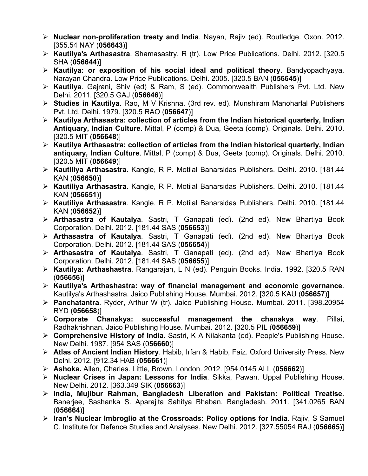- ¾ **Nuclear non-proliferation treaty and India**. Nayan, Rajiv (ed). Routledge. Oxon. 2012. [355.54 NAY (**056643**)]
- ¾ **Kautilya's Arthasastra**. Shamasastry, R (tr). Low Price Publications. Delhi. 2012. [320.5 SHA (**056644**)]
- ¾ **Kautilya: or exposition of his social ideal and political theory**. Bandyopadhyaya, Narayan Chandra. Low Price Publications. Delhi. 2005. [320.5 BAN (**056645**)]
- ¾ **Kautilya**. Gajrani, Shiv (ed) & Ram, S (ed). Commonwealth Publishers Pvt. Ltd. New Delhi. 2011. [320.5 GAJ (**056646**)]
- ¾ **Studies in Kautilya**. Rao, M V Krishna. (3rd rev. ed). Munshiram Manoharlal Publishers Pvt. Ltd. Delhi. 1979. [320.5 RAO (**056647**)]
- ¾ **Kautilya Arthasastra: collection of articles from the Indian historical quarterly, Indian Antiquary, Indian Culture**. Mittal, P (comp) & Dua, Geeta (comp). Originals. Delhi. 2010. [320.5 MIT (**056648**)]
- ¾ **Kautilya Arthasastra: collection of articles from the Indian historical quarterly, Indian antiquary, Indian Culture**. Mittal, P (comp) & Dua, Geeta (comp). Originals. Delhi. 2010. [320.5 MIT (**056649**)]
- ¾ **Kautiliya Arthasastra**. Kangle, R P. Motilal Banarsidas Publishers. Delhi. 2010. [181.44 KAN (**056650**)]
- ¾ **Kautiliya Arthasastra**. Kangle, R P. Motilal Banarsidas Publishers. Delhi. 2010. [181.44 KAN (**056651**)]
- ¾ **Kautiliya Arthasastra**. Kangle, R P. Motilal Banarsidas Publishers. Delhi. 2010. [181.44 KAN (**056652**)]
- ¾ **Arthasastra of Kautalya**. Sastri, T Ganapati (ed). (2nd ed). New Bhartiya Book Corporation. Delhi. 2012. [181.44 SAS (**056653**)]
- ¾ **Arthasastra of Kautalya**. Sastri, T Ganapati (ed). (2nd ed). New Bhartiya Book Corporation. Delhi. 2012. [181.44 SAS (**056654**)]
- ¾ **Arthasastra of Kautalya**. Sastri, T Ganapati (ed). (2nd ed). New Bhartiya Book Corporation. Delhi. 2012. [181.44 SAS (**056655**)]
- ¾ **Kautilya: Arthashastra**. Rangarajan, L N (ed). Penguin Books. India. 1992. [320.5 RAN (**056656**)]
- ¾ **Kautilya's Arthashastra: way of financial management and economic governance**. Kautilya's Arthashastra. Jaico Publishing House. Mumbai. 2012. [320.5 KAU (**056657**)]
- ¾ **Panchatantra**. Ryder, Arthur W (tr). Jaico Publishing House. Mumbai. 2011. [398.20954 RYD (**056658**)]
- ¾ **Corporate Chanakya: successful management the chanakya way**. Pillai, Radhakrishnan. Jaico Publishing House. Mumbai. 2012. [320.5 PIL (**056659**)]
- ¾ **Comprehensive History of India**. Sastri, K A Nilakanta (ed). People's Publishing House. New Delhi. 1987. [954 SAS (0**56660**)]
- ¾ **Atlas of Ancient Indian History**. Habib, Irfan & Habib, Faiz. Oxford University Press. New Delhi. 2012. [912.34 HAB (**056661**)]
- ¾ **Ashoka.** Allen, Charles. Little, Brown. London. 2012. [954.0145 ALL (**056662**)]
- ¾ **Nuclear Crises in Japan: Lessons for India**. Sikka, Pawan. Uppal Publishing House. New Delhi. 2012. [363.349 SIK (**056663**)]
- ¾ **India, Mujibur Rahman, Bangladesh Liberation and Pakistan: Political Treatise**. Banerjee, Sashanka S. Aparajita Sahitya Bhaban. Bangladesh. 2011. [341.0265 BAN (**056664**)]
- ¾ **Iran's Nuclear Imbroglio at the Crossroads: Policy options for India**. Rajiv, S Samuel C. Institute for Defence Studies and Analyses. New Delhi. 2012. [327.55054 RAJ (**056665**)]